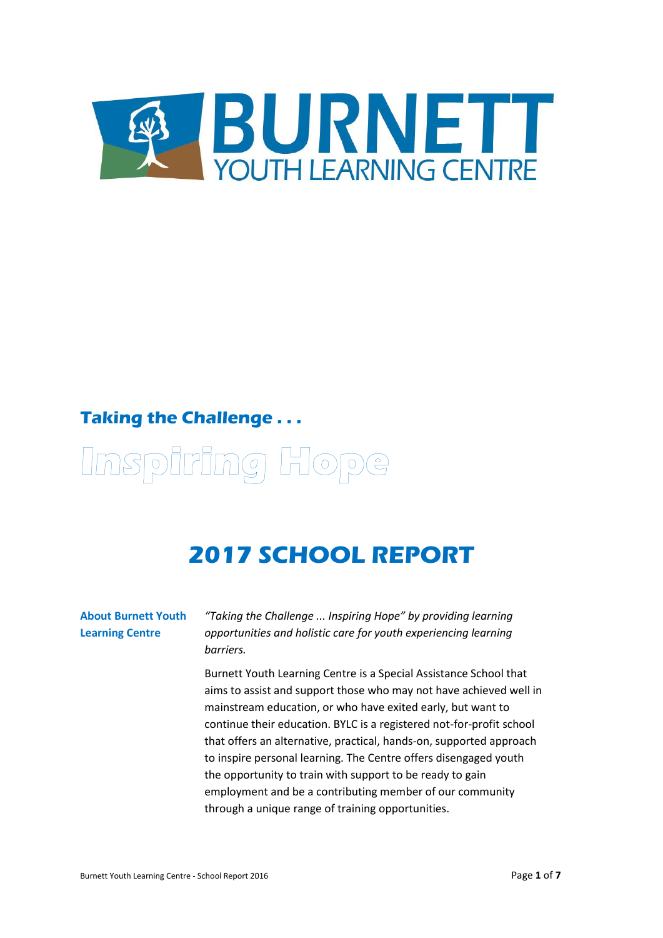

### **Taking the Challenge . . .**

# Unspiring Hope

## **2017 SCHOOL REPORT**

#### **About Burnett Youth Learning Centre**

*"Taking the Challenge ... Inspiring Hope" by providing learning opportunities and holistic care for youth experiencing learning barriers.*

Burnett Youth Learning Centre is a Special Assistance School that aims to assist and support those who may not have achieved well in mainstream education, or who have exited early, but want to continue their education. BYLC is a registered not-for-profit school that offers an alternative, practical, hands-on, supported approach to inspire personal learning. The Centre offers disengaged youth the opportunity to train with support to be ready to gain employment and be a contributing member of our community through a unique range of training opportunities.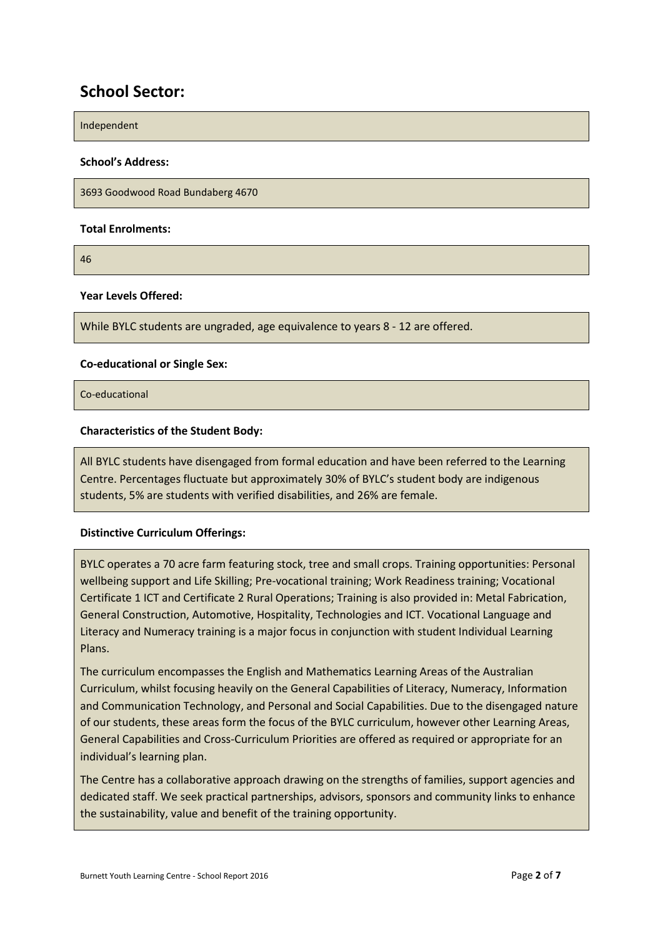#### **School Sector:**

Independent

#### **School's Address:**

3693 Goodwood Road Bundaberg 4670

#### **Total Enrolments:**

46

#### **Year Levels Offered:**

While BYLC students are ungraded, age equivalence to years 8 - 12 are offered.

#### **Co-educational or Single Sex:**

Co-educational

#### **Characteristics of the Student Body:**

All BYLC students have disengaged from formal education and have been referred to the Learning Centre. Percentages fluctuate but approximately 30% of BYLC's student body are indigenous students, 5% are students with verified disabilities, and 26% are female.

#### **Distinctive Curriculum Offerings:**

BYLC operates a 70 acre farm featuring stock, tree and small crops. Training opportunities: Personal wellbeing support and Life Skilling; Pre-vocational training; Work Readiness training; Vocational Certificate 1 ICT and Certificate 2 Rural Operations; Training is also provided in: Metal Fabrication, General Construction, Automotive, Hospitality, Technologies and ICT. Vocational Language and Literacy and Numeracy training is a major focus in conjunction with student Individual Learning Plans.

The curriculum encompasses the English and Mathematics Learning Areas of the Australian Curriculum, whilst focusing heavily on the General Capabilities of Literacy, Numeracy, Information and Communication Technology, and Personal and Social Capabilities. Due to the disengaged nature of our students, these areas form the focus of the BYLC curriculum, however other Learning Areas, General Capabilities and Cross-Curriculum Priorities are offered as required or appropriate for an individual's learning plan.

The Centre has a collaborative approach drawing on the strengths of families, support agencies and dedicated staff. We seek practical partnerships, advisors, sponsors and community links to enhance the sustainability, value and benefit of the training opportunity.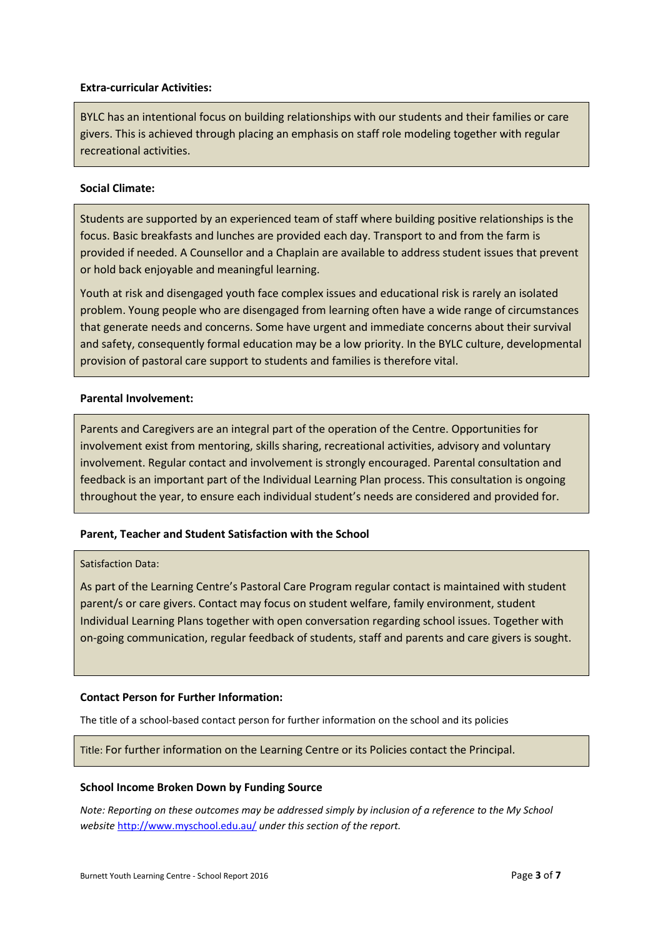#### **Extra-curricular Activities:**

BYLC has an intentional focus on building relationships with our students and their families or care givers. This is achieved through placing an emphasis on staff role modeling together with regular recreational activities.

#### **Social Climate:**

Students are supported by an experienced team of staff where building positive relationships is the focus. Basic breakfasts and lunches are provided each day. Transport to and from the farm is provided if needed. A Counsellor and a Chaplain are available to address student issues that prevent or hold back enjoyable and meaningful learning.

Youth at risk and disengaged youth face complex issues and educational risk is rarely an isolated problem. Young people who are disengaged from learning often have a wide range of circumstances that generate needs and concerns. Some have urgent and immediate concerns about their survival and safety, consequently formal education may be a low priority. In the BYLC culture, developmental provision of pastoral care support to students and families is therefore vital.

#### **Parental Involvement:**

Parents and Caregivers are an integral part of the operation of the Centre. Opportunities for involvement exist from mentoring, skills sharing, recreational activities, advisory and voluntary involvement. Regular contact and involvement is strongly encouraged. Parental consultation and feedback is an important part of the Individual Learning Plan process. This consultation is ongoing throughout the year, to ensure each individual student's needs are considered and provided for.

#### **Parent, Teacher and Student Satisfaction with the School**

#### Satisfaction Data:

As part of the Learning Centre's Pastoral Care Program regular contact is maintained with student parent/s or care givers. Contact may focus on student welfare, family environment, student Individual Learning Plans together with open conversation regarding school issues. Together with on-going communication, regular feedback of students, staff and parents and care givers is sought.

#### **Contact Person for Further Information:**

The title of a school-based contact person for further information on the school and its policies

#### Title: For further information on the Learning Centre or its Policies contact the Principal.

#### **School Income Broken Down by Funding Source**

*Note: Reporting on these outcomes may be addressed simply by inclusion of a reference to the My School website* <http://www.myschool.edu.au/> *under this section of the report.*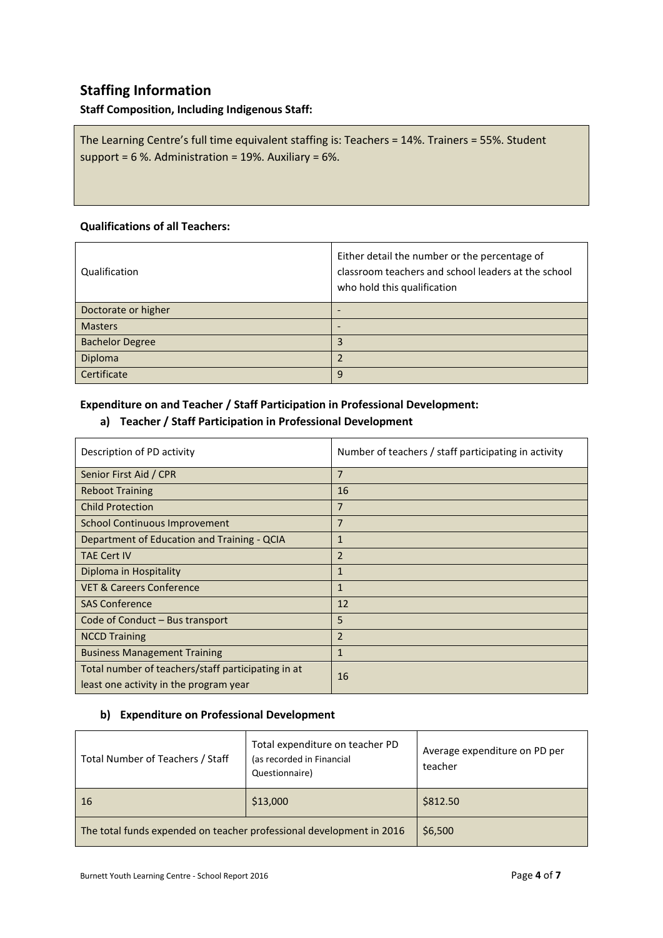#### **Staffing Information**

#### **Staff Composition, Including Indigenous Staff:**

The Learning Centre's full time equivalent staffing is: Teachers = 14%. Trainers = 55%. Student support = 6 %. Administration = 19%. Auxiliary = 6%.

#### **Qualifications of all Teachers:**

| Qualification          | Either detail the number or the percentage of<br>classroom teachers and school leaders at the school<br>who hold this qualification |
|------------------------|-------------------------------------------------------------------------------------------------------------------------------------|
| Doctorate or higher    |                                                                                                                                     |
| <b>Masters</b>         |                                                                                                                                     |
| <b>Bachelor Degree</b> | 3                                                                                                                                   |
| Diploma                |                                                                                                                                     |
| Certificate            | 9                                                                                                                                   |

#### **Expenditure on and Teacher / Staff Participation in Professional Development:**

#### **a) Teacher / Staff Participation in Professional Development**

| Description of PD activity                                                                   | Number of teachers / staff participating in activity |
|----------------------------------------------------------------------------------------------|------------------------------------------------------|
| Senior First Aid / CPR                                                                       | $\overline{7}$                                       |
| <b>Reboot Training</b>                                                                       | 16                                                   |
| <b>Child Protection</b>                                                                      | $\overline{7}$                                       |
| School Continuous Improvement                                                                | 7                                                    |
| Department of Education and Training - QCIA                                                  | $\mathbf{1}$                                         |
| <b>TAE Cert IV</b>                                                                           | $\overline{2}$                                       |
| Diploma in Hospitality                                                                       | $\mathbf{1}$                                         |
| <b>VET &amp; Careers Conference</b>                                                          | $\mathbf{1}$                                         |
| <b>SAS Conference</b>                                                                        | 12                                                   |
| Code of Conduct – Bus transport                                                              | 5                                                    |
| <b>NCCD Training</b>                                                                         | $\overline{2}$                                       |
| <b>Business Management Training</b>                                                          | $\mathbf{1}$                                         |
| Total number of teachers/staff participating in at<br>least one activity in the program year | 16                                                   |

#### **b) Expenditure on Professional Development**

| Total Number of Teachers / Staff                                     | Total expenditure on teacher PD<br>(as recorded in Financial<br>Questionnaire) | Average expenditure on PD per<br>teacher |
|----------------------------------------------------------------------|--------------------------------------------------------------------------------|------------------------------------------|
| 16                                                                   | \$13,000                                                                       | \$812.50                                 |
| The total funds expended on teacher professional development in 2016 |                                                                                | \$6,500                                  |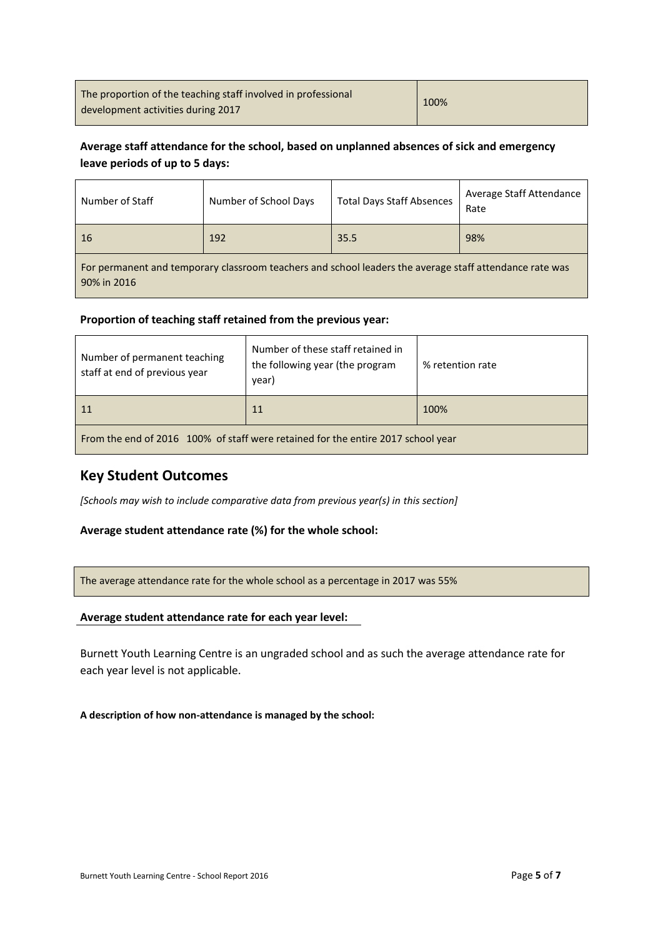| The proportion of the teaching staff involved in professional | 100% |
|---------------------------------------------------------------|------|
| development activities during 2017                            |      |

#### **Average staff attendance for the school, based on unplanned absences of sick and emergency leave periods of up to 5 days:**

| Number of Staff                                                                                                        | Number of School Days | <b>Total Days Staff Absences</b> | Average Staff Attendance<br>Rate |
|------------------------------------------------------------------------------------------------------------------------|-----------------------|----------------------------------|----------------------------------|
| 16                                                                                                                     | 192                   | 35.5                             | 98%                              |
| For permanent and temporary classroom teachers and school leaders the average staff attendance rate was<br>90% in 2016 |                       |                                  |                                  |

#### **Proportion of teaching staff retained from the previous year:**

| Number of permanent teaching<br>staff at end of previous year                    | Number of these staff retained in<br>the following year (the program<br>year) | % retention rate |
|----------------------------------------------------------------------------------|-------------------------------------------------------------------------------|------------------|
| $\vert$ 11                                                                       | 11                                                                            | 100%             |
| From the end of 2016 100% of staff were retained for the entire 2017 school year |                                                                               |                  |

#### **Key Student Outcomes**

*[Schools may wish to include comparative data from previous year(s) in this section]*

#### **Average student attendance rate (%) for the whole school:**

The average attendance rate for the whole school as a percentage in 2017 was 55%

#### **Average student attendance rate for each year level:**

Burnett Youth Learning Centre is an ungraded school and as such the average attendance rate for each year level is not applicable.

#### **A description of how non-attendance is managed by the school:**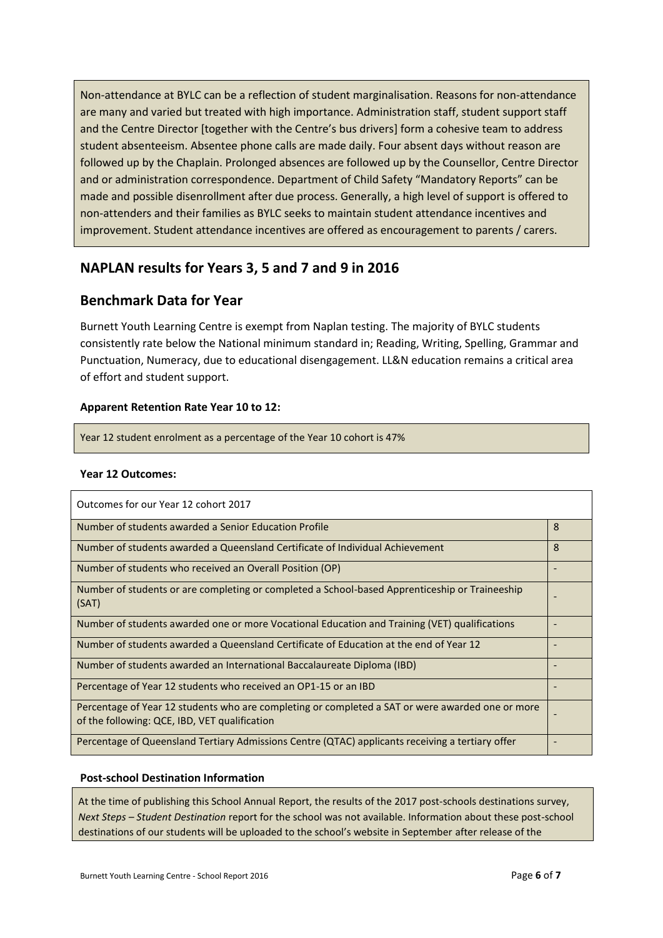Non-attendance at BYLC can be a reflection of student marginalisation. Reasons for non-attendance are many and varied but treated with high importance. Administration staff, student support staff and the Centre Director [together with the Centre's bus drivers] form a cohesive team to address student absenteeism. Absentee phone calls are made daily. Four absent days without reason are followed up by the Chaplain. Prolonged absences are followed up by the Counsellor, Centre Director and or administration correspondence. Department of Child Safety "Mandatory Reports" can be made and possible disenrollment after due process. Generally, a high level of support is offered to non-attenders and their families as BYLC seeks to maintain student attendance incentives and improvement. Student attendance incentives are offered as encouragement to parents / carers.

#### **NAPLAN results for Years 3, 5 and 7 and 9 in 2016**

#### **Benchmark Data for Year**

Burnett Youth Learning Centre is exempt from Naplan testing. The majority of BYLC students consistently rate below the National minimum standard in; Reading, Writing, Spelling, Grammar and Punctuation, Numeracy, due to educational disengagement. LL&N education remains a critical area of effort and student support.

#### **Apparent Retention Rate Year 10 to 12:**

Year 12 student enrolment as a percentage of the Year 10 cohort is 47%

#### **Year 12 Outcomes:**

| Outcomes for our Year 12 cohort 2017                                                                                                              |   |
|---------------------------------------------------------------------------------------------------------------------------------------------------|---|
| Number of students awarded a Senior Education Profile                                                                                             | 8 |
| Number of students awarded a Queensland Certificate of Individual Achievement                                                                     | 8 |
| Number of students who received an Overall Position (OP)                                                                                          |   |
| Number of students or are completing or completed a School-based Apprenticeship or Traineeship<br>(SAT)                                           |   |
| Number of students awarded one or more Vocational Education and Training (VET) qualifications                                                     |   |
| Number of students awarded a Queensland Certificate of Education at the end of Year 12                                                            |   |
| Number of students awarded an International Baccalaureate Diploma (IBD)                                                                           |   |
| Percentage of Year 12 students who received an OP1-15 or an IBD                                                                                   |   |
| Percentage of Year 12 students who are completing or completed a SAT or were awarded one or more<br>of the following: QCE, IBD, VET qualification |   |
| Percentage of Queensland Tertiary Admissions Centre (QTAC) applicants receiving a tertiary offer                                                  |   |

#### **Post-school Destination Information**

At the time of publishing this School Annual Report, the results of the 2017 post-schools destinations survey, *Next Steps – Student Destination* report for the school was not available. Information about these post-school destinations of our students will be uploaded to the school's website in September after release of the